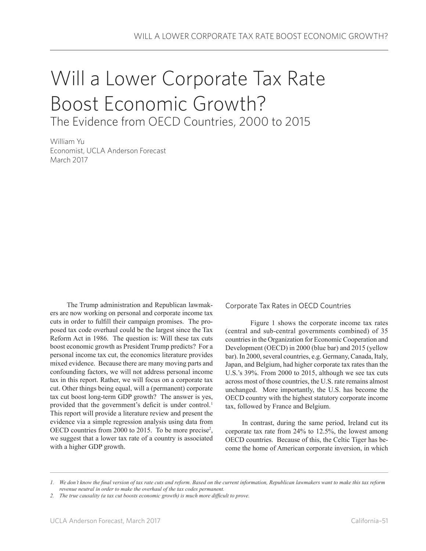## Will a Lower Corporate Tax Rate Boost Economic Growth? The Evidence from OECD Countries, 2000 to 2015

William Yu Economist, UCLA Anderson Forecast March 2017

The Trump administration and Republican lawmakers are now working on personal and corporate income tax cuts in order to fulfill their campaign promises. The proposed tax code overhaul could be the largest since the Tax Reform Act in 1986. The question is: Will these tax cuts boost economic growth as President Trump predicts? For a personal income tax cut, the economics literature provides mixed evidence. Because there are many moving parts and confounding factors, we will not address personal income tax in this report. Rather, we will focus on a corporate tax cut. Other things being equal, will a (permanent) corporate tax cut boost long-term GDP growth? The answer is yes, provided that the government's deficit is under control.<sup>1</sup> This report will provide a literature review and present the evidence via a simple regression analysis using data from OECD countries from 2000 to 2015. To be more precise<sup>2</sup>, we suggest that a lower tax rate of a country is associated with a higher GDP growth.

Corporate Tax Rates in OECD Countries

Figure 1 shows the corporate income tax rates (central and sub-central governments combined) of 35 countries in the Organization for Economic Cooperation and Development (OECD) in 2000 (blue bar) and 2015 (yellow bar). In 2000, several countries, e.g. Germany, Canada, Italy, Japan, and Belgium, had higher corporate tax rates than the U.S.'s 39%. From 2000 to 2015, although we see tax cuts across most of those countries, the U.S. rate remains almost unchanged. More importantly, the U.S. has become the OECD country with the highest statutory corporate income tax, followed by France and Belgium.

In contrast, during the same period, Ireland cut its corporate tax rate from 24% to 12.5%, the lowest among OECD countries. Because of this, the Celtic Tiger has become the home of American corporate inversion, in which

*<sup>1.</sup> We don't know the final version of tax rate cuts and reform. Based on the current information, Republican lawmakers want to make this tax reform revenue neutral in order to make the overhaul of the tax codes permanent.* 

*<sup>2.</sup> The true causality (a tax cut boosts economic growth) is much more difficult to prove.*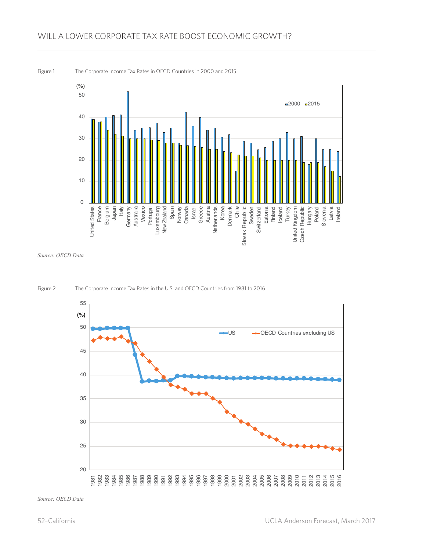

*Source: OECD Data*



Figure 2 The Corporate Income Tax Rates in the U.S. and OECD Countries from 1981 to 2016

*Source: OECD Data*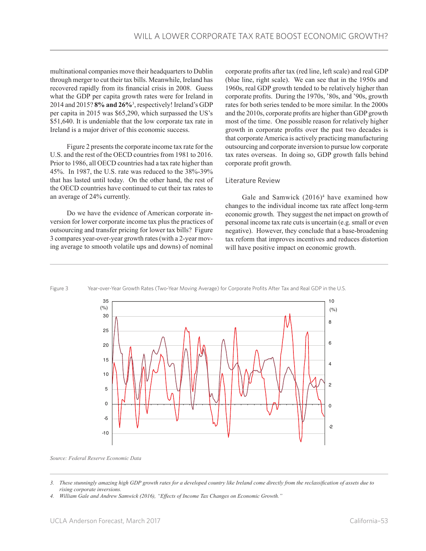multinational companies move their headquarters to Dublin through merger to cut their tax bills. Meanwhile, Ireland has recovered rapidly from its financial crisis in 2008. Guess what the GDP per capita growth rates were for Ireland in 2014 and 2015? **8% and 26%**<sup>3</sup> , respectively! Ireland's GDP per capita in 2015 was \$65,290, which surpassed the US's \$51,640. It is undeniable that the low corporate tax rate in Ireland is a major driver of this economic success.

Figure 2 presents the corporate income tax rate for the U.S. and the rest of the OECD countries from 1981 to 2016. Prior to 1986, all OECD countries had a tax rate higher than 45%. In 1987, the U.S. rate was reduced to the 38%-39% that has lasted until today. On the other hand, the rest of the OECD countries have continued to cut their tax rates to an average of 24% currently.

Do we have the evidence of American corporate inversion for lower corporate income tax plus the practices of outsourcing and transfer pricing for lower tax bills? Figure 3 compares year-over-year growth rates (with a 2-year moving average to smooth volatile ups and downs) of nominal

corporate profits after tax (red line, left scale) and real GDP (blue line, right scale). We can see that in the 1950s and 1960s, real GDP growth tended to be relatively higher than corporate profits. During the 1970s, '80s, and '90s, growth rates for both series tended to be more similar. In the 2000s and the 2010s, corporate profits are higher than GDP growth most of the time. One possible reason for relatively higher growth in corporate profits over the past two decades is that corporate America is actively practicing manufacturing outsourcing and corporate inversion to pursue low corporate tax rates overseas. In doing so, GDP growth falls behind corporate profit growth.

## Literature Review

Gale and Samwick  $(2016)^4$  have examined how changes to the individual income tax rate affect long-term economic growth. They suggest the net impact on growth of personal income tax rate cuts is uncertain (e.g. small or even negative). However, they conclude that a base-broadening tax reform that improves incentives and reduces distortion will have positive impact on economic growth.





Source: Federal Reserve Economic Data

*<sup>3.</sup> These stunningly amazing high GDP growth rates for a developed country like Ireland come directly from the reclassification of assets due to rising corporate inversions.*

*<sup>4.</sup> William Gale and Andrew Samwick (2016), "Effects of Income Tax Changes on Economic Growth."*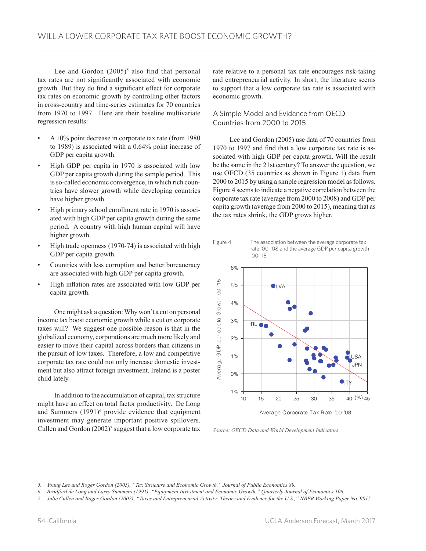Lee and Gordon  $(2005)^5$  also find that personal tax rates are not significantly associated with economic growth. But they do find a significant effect for corporate tax rates on economic growth by controlling other factors in cross-country and time-series estimates for 70 countries from 1970 to 1997. Here are their baseline multivariate regression results:

- A 10% point decrease in corporate tax rate (from 1980 to 1989) is associated with a 0.64% point increase of GDP per capita growth.
- High GDP per capita in 1970 is associated with low GDP per capita growth during the sample period. This is so-called economic convergence, in which rich countries have slower growth while developing countries have higher growth.
- High primary school enrollment rate in 1970 is associated with high GDP per capita growth during the same period. A country with high human capital will have higher growth.
- High trade openness (1970-74) is associated with high GDP per capita growth.
- Countries with less corruption and better bureaucracy are associated with high GDP per capita growth.
- High inflation rates are associated with low GDP per capita growth.

One might ask a question: Why won't a cut on personal income tax boost economic growth while a cut on corporate taxes will? We suggest one possible reason is that in the globalized economy, corporations are much more likely and easier to move their capital across borders than citizens in the pursuit of low taxes. Therefore, a low and competitive corporate tax rate could not only increase domestic investment but also attract foreign investment. Ireland is a poster child lately.

In addition to the accumulation of capital, tax structure might have an effect on total factor productivity. De Long and Summers  $(1991)^6$  provide evidence that equipment investment may generate important positive spillovers. Cullen and Gordon  $(2002)^7$  suggest that a low corporate tax rate relative to a personal tax rate encourages risk-taking and entrepreneurial activity. In short, the literature seems to support that a low corporate tax rate is associated with economic growth.

## A Simple Model and Evidence from OECD Countries from 2000 to 2015

Lee and Gordon (2005) use data of 70 countries from 1970 to 1997 and find that a low corporate tax rate is associated with high GDP per capita growth. Will the result be the same in the 21st century? To answer the question, we use OECD (35 countries as shown in Figure 1) data from 2000 to 2015 by using a simple regression model as follows. Figure 4 seems to indicate a negative correlation between the corporate tax rate (average from 2000 to 2008) and GDP per capita growth (average from 2000 to 2015), meaning that as the tax rates shrink, the GDP grows higher.



rate '00-'08 and the average GDP per capita growth '00-'15



*Source: OECD Data and World Development Indicators*

*<sup>5.</sup> Young Lee and Roger Gordon (2005), "Tax Structure and Economic Growth," Journal of Public Economics 89.*

*<sup>6.</sup> Bradford de Long and Larry Summers (1991), "Equipment Investment and Economic Growth," Quarterly Journal of Economics 106.*

*<sup>7.</sup> Julie Cullen and Roger Gordon (2002), "Taxes and Entrepreneurial Activity: Theory and Evidence for the U.S.," NBER Working Paper No. 9015.*